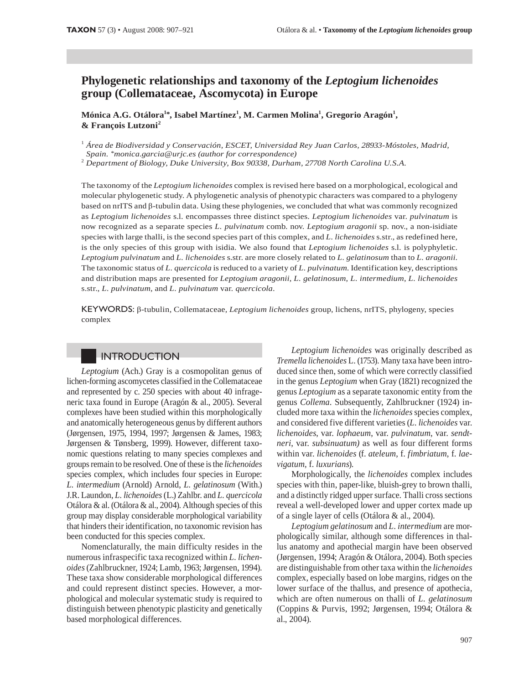## Phylogenetic relationships and taxonomy of the Leptogium lichenoides group (Collemataceae, Ascomycota) in Europe

Mónica A.G. Otálora<sup>1\*</sup>, Isabel Martínez<sup>1</sup>, M. Carmen Molina<sup>1</sup>, Gregorio Aragón<sup>1</sup>, & François Lutzoni<sup>2</sup>

 $^1$  Área de Biodiversidad y Conservación, ESCET, Universidad Rey Juan Carlos, 28933-Móstoles, Madrid, Spain. \*monica.garcia@urjc.es (author for correspondence)

<sup>2</sup> Department of Biology, Duke University, Box 90338, Durham, 27708 North Carolina U.S.A.

The taxonomy of the Leptogium lichenoides complex is revised here based on a morphological, ecological and molecular phylogenetic study. A phylogenetic analysis of phenotypic characters was compared to a phylogeny based on nrITS and  $\beta$ -tubulin data. Using these phylogenies, we concluded that what was commonly recognized as Leptogium lichenoides s.l. encompasses three distinct species. Leptogium lichenoides var. pulvinatum is now recognized as a separate species L. pulvinatum comb. nov. Leptogium aragonii sp. nov., a non-isidiate species with large thalli, is the second species part of this complex, and L. lichenoides s.str., as redefined here, is the only species of this group with isidia. We also found that *Leptogium lichenoides* s.l. is polyphyletic. Leptogium pulvinatum and L. lichenoides s.str. are more closely related to L. gelatinosum than to L. aragonii. The taxonomic status of L. quercicola is reduced to a variety of L. pulvinatum. Identification key, descriptions and distribution maps are presented for Leptogium aragonii, L. gelatinosum, L. intermedium, L. lichenoides s.str., L. pulvinatum, and L. pulvinatum var. quercicola.

KEYWORDS:  $\beta$ -tubulin, Collemataceae, *Leptogium lichenoides* group, lichens, nrITS, phylogeny, species complex

## INTRODUCTION

Leptogium (Ach.) Gray is a cosmopolitan genus of lichen-forming ascomycetes classified in the Collemataceae and represented by c. 250 species with about 40 infrageneric taxa found in Europe (Aragón & al., 2005). Several complexes have been studied within this morphologically and anatomically heterogeneous genus by different authors (Jørgensen, 1975, 1994, 1997; Jørgensen & James, 1983; Jørgensen & Tønsberg, 1999). However, different taxonomic questions relating to many species complexes and groups remain to be resolved. One of these is the *lichenoides* species complex, which includes four species in Europe: L. intermedium (Arnold) Arnold, L. gelatinosum (With.) J.R. Laundon, L. lichenoides (L.) Zahlbr. and L. quercicola Otálora & al. (Otálora & al., 2004). Although species of this group may display considerable morphological variability that hinders their identification, no taxonomic revision has been conducted for this species complex.

Nomenclaturally, the main difficulty resides in the numerous infraspecific taxa recognized within L. lichenoides (Zahlbruckner, 1924; Lamb, 1963; Jørgensen, 1994). These taxa show considerable morphological differences and could represent distinct species. However, a morphological and molecular systematic study is required to distinguish between phenotypic plasticity and genetically based morphological differences.

Leptogium lichenoides was originally described as Tremella lichenoides L. (1753). Many taxa have been introduced since then, some of which were correctly classified in the genus *Leptogium* when Gray (1821) recognized the genus Leptogium as a separate taxonomic entity from the genus Collema. Subsequently, Zahlbruckner (1924) included more taxa within the *lichenoides* species complex, and considered five different varieties (L. lichenoides var. lichenoides, var. lophaeum, var. pulvinatum, var. sendtneri, var. subsinuatum) as well as four different forms within var. lichenoides (f. ateleum, f. fimbriatum, f. laevigatum, f. luxurians).

Morphologically, the *lichenoides* complex includes species with thin, paper-like, bluish-grey to brown thalli, and a distinctly ridged upper surface. Thalli cross sections reveal a well-developed lower and upper cortex made up of a single layer of cells (Otálora & al., 2004).

Leptogium gelatinosum and L. intermedium are morphologically similar, although some differences in thallus anatomy and apothecial margin have been observed (Jørgensen, 1994; Aragón & Otálora, 2004). Both species are distinguishable from other taxa within the lichenoides complex, especially based on lobe margins, ridges on the lower surface of the thallus, and presence of apothecia, which are often numerous on thalli of L. gelatinosum (Coppins & Purvis, 1992; Jørgensen, 1994; Otálora & al., 2004).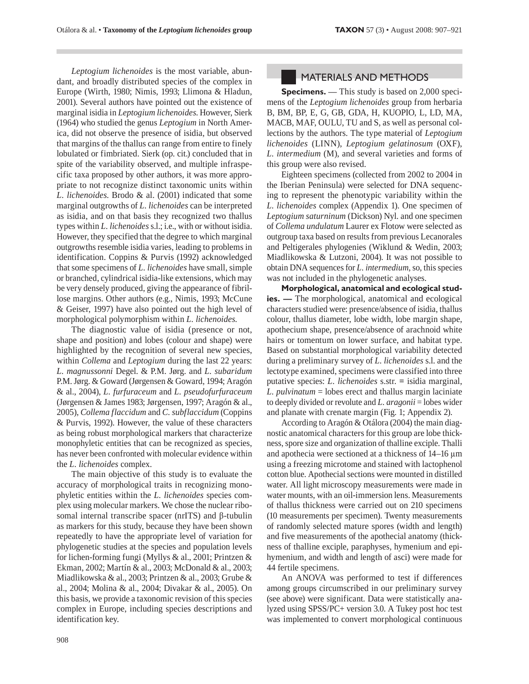Leptogium lichenoides is the most variable, abundant, and broadly distributed species of the complex in Europe (Wirth, 1980; Nimis, 1993; Llimona & Hladun, 2001). Several authors have pointed out the existence of marginal isidia in Leptogium lichenoides. However, Sierk (1964) who studied the genus Leptogium in North America, did not observe the presence of isidia, but observed that margins of the thallus can range from entire to finely lobulated or fimbriated. Sierk (op. cit.) concluded that in spite of the variability observed, and multiple infraspecific taxa proposed by other authors, it was more appropriate to not recognize distinct taxonomic units within L. lichenoides. Brodo & al. (2001) indicated that some marginal outgrowths of L. lichenoides can be interpreted as isidia, and on that basis they recognized two thallus types within L. lichenoides s.l.; i.e., with or without isidia. However, they specified that the degree to which marginal outgrowths resemble isidia varies, leading to problems in identification. Coppins & Purvis (1992) acknowledged that some specimens of *L. lichenoides* have small, simple or branched, cylindrical isidia-like extensions, which may be very densely produced, giving the appearance of fibrillose margins. Other authors (e.g., Nimis, 1993; McCune & Geiser, 1997) have also pointed out the high level of morphological polymorphism within L. lichenoides.

The diagnostic value of isidia (presence or not, shape and position) and lobes (colour and shape) were highlighted by the recognition of several new species, within Collema and Leptogium during the last 22 years: L. magnussonni Degel. & P.M. Jørg. and L. subaridum P.M. Jørg. & Goward (Jørgensen & Goward, 1994; Aragón & al., 2004), L. furfuraceum and L. pseudofurfuraceum (Jørgensen & James 1983; Jørgensen, 1997; Aragón & al., 2005), Collema flaccidum and C. subflaccidum (Coppins & Purvis, 1992). However, the value of these characters as being robust morphological markers that characterize monophyletic entities that can be recognized as species, has never been confronted with molecular evidence within the L. lichenoides complex.

The main objective of this study is to evaluate the accuracy of morphological traits in recognizing monophyletic entities within the *L. lichenoides* species complex using molecular markers. We chose the nuclear ribosomal internal transcribe spacer ( $nrITS$ ) and  $\beta$ -tubulin as markers for this study, because they have been shown repeatedly to have the appropriate level of variation for phylogenetic studies at the species and population levels for lichen-forming fungi (Myllys & al., 2001; Printzen & Ekman, 2002; Martín & al., 2003; McDonald & al., 2003; Miadlikowska & al., 2003; Printzen & al., 2003; Grube & al., 2004; Molina & al., 2004; Divakar & al., 2005). On this basis, we provide a taxonomic revision of this species complex in Europe, including species descriptions and identification key.

### **MATERIALS AND METHODS**

**Specimens.** — This study is based on 2,000 specimens of the Leptogium lichenoides group from herbaria B, BM, BP, E, G, GB, GDA, H, KUOPIO, L, LD, MA, MACB, MAF, OULU, TU and S, as well as personal collections by the authors. The type material of Leptogium lichenoides (LINN), Leptogium gelatinosum (OXF), L. intermedium (M), and several varieties and forms of this group were also revised.

Eighteen specimens (collected from 2002 to 2004 in the Iberian Peninsula) were selected for DNA sequencing to represent the phenotypic variability within the L. lichenoides complex (Appendix 1). One specimen of Leptogium saturninum (Dickson) Nyl. and one specimen of Collema undulatum Laurer ex Flotow were selected as outgroup taxa based on results from previous Lecanorales and Peltigerales phylogenies (Wiklund & Wedin, 2003; Miadlikowska & Lutzoni, 2004). It was not possible to obtain DNA sequences for *L. intermedium*, so, this species was not included in the phylogenetic analyses.

Morphological, anatomical and ecological studies. — The morphological, anatomical and ecological characters studied were: presence/absence of isidia, thallus colour, thallus diameter, lobe width, lobe margin shape, apothecium shape, presence/absence of arachnoid white hairs or tomentum on lower surface, and habitat type. Based on substantial morphological variability detected during a preliminary survey of *L. lichenoides* s.l. and the lectotype examined, specimens were classified into three putative species: *L. lichenoides* s.str. = isidia marginal,  $L.$  *pulvinatum* = lobes erect and thallus margin laciniate to deeply divided or revolute and L.  $aragonii =$  lobes wider and planate with crenate margin (Fig. 1; Appendix 2).

According to Aragón & Otálora (2004) the main diagnostic anatomical characters for this group are lobe thickness, spore size and organization of thalline exciple. Thalli and apothecia were sectioned at a thickness of  $14-16 \mu m$ using a freezing microtome and stained with lactophenol cotton blue. Apothecial sections were mounted in distilled water. All light microscopy measurements were made in water mounts, with an oil-immersion lens. Measurements of thallus thickness were carried out on 210 specimens (10 measurements per specimen). Twenty measurements of randomly selected mature spores (width and length) and five measurements of the apothecial anatomy (thickness of thalline exciple, paraphyses, hymenium and epihymenium, and width and length of asci) were made for 44 fertile specimens.

An ANOVA was performed to test if differences among groups circumscribed in our preliminary survey (see above) were significant. Data were statistically analyzed using SPSS/PC+ version 3.0. A Tukey post hoc test was implemented to convert morphological continuous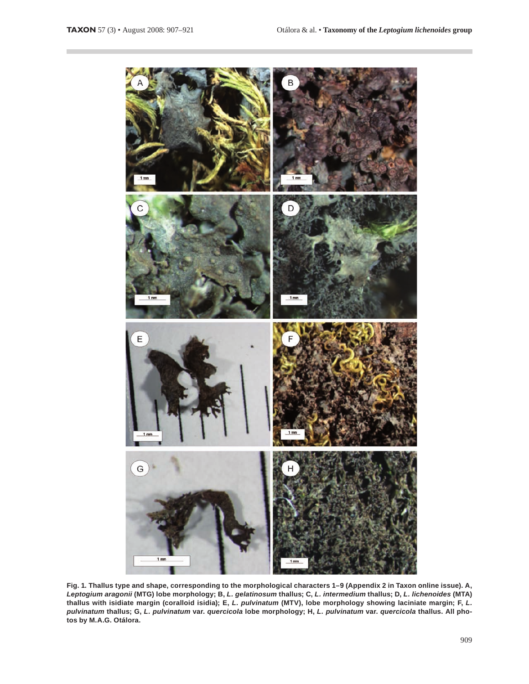

Fig. 1. Thallus type and shape, corresponding to the morphological characters 1-9 (Appendix 2 in Taxon online issue). A, Leptogium aragonii (MTG) lobe morphology; B, L. gelatinosum thallus; C, L. intermedium thallus; D, L. lichenoides (MTA) thallus with isidiate margin (coralloid isidia); E, L. pulvinatum (MTV), lobe morphology showing laciniate margin; F, L. pulvinatum thallus; G, L. pulvinatum var. quercicola lobe morphology; H, L. pulvinatum var. quercicola thallus. All photos by M.A.G. Otálora.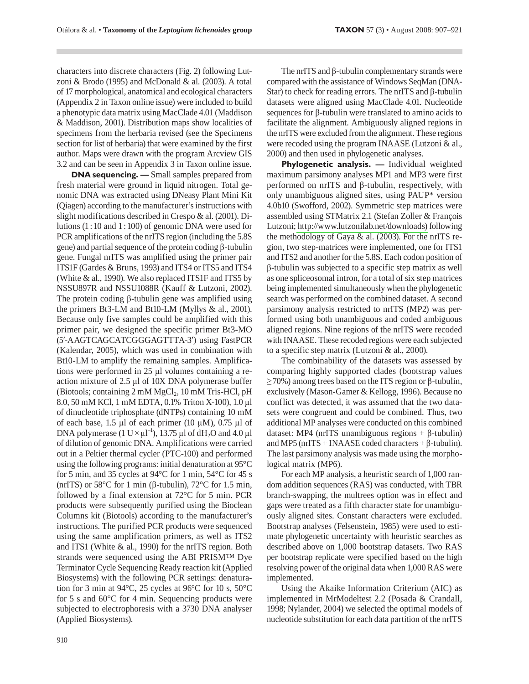characters into discrete characters (Fig. 2) following Lutzoni & Brodo (1995) and McDonald & al. (2003). A total of 17 morphological, anatomical and ecological characters (Appendix 2 in Taxon online issue) were included to build a phenotypic data matrix using MacClade 4.01 (Maddison & Maddison, 2001). Distribution maps show localities of specimens from the herbaria revised (see the Specimens section for list of herbaria) that were examined by the first author. Maps were drawn with the program Arcview GIS 3.2 and can be seen in Appendix 3 in Taxon online issue.

**DNA sequencing.** - Small samples prepared from fresh material were ground in liquid nitrogen. Total genomic DNA was extracted using DNeasy Plant Mini Kit (Qiagen) according to the manufacturer's instructions with slight modifications described in Crespo & al. (2001). Dilutions  $(1:10$  and  $1:100$ ) of genomic DNA were used for PCR amplifications of the nrITS region (including the 5.8S) gene) and partial sequence of the protein coding  $\beta$ -tubulin gene. Fungal nrITS was amplified using the primer pair ITS1F (Gardes & Bruns, 1993) and ITS4 or ITS5 and ITS4 (White & al., 1990). We also replaced ITS1F and ITS5 by NSSU897R and NSSU1088R (Kauff & Lutzoni, 2002). The protein coding  $\beta$ -tubulin gene was amplified using the primers Bt3-LM and Bt10-LM (Myllys & al., 2001). Because only five samples could be amplified with this primer pair, we designed the specific primer Bt3-MO (5'-AAGTCAGCATCGGGAGTTTA-3') using FastPCR (Kalendar, 2005), which was used in combination with Bt10-LM to amplify the remaining samples. Amplifications were performed in 25 µl volumes containing a reaction mixture of 2.5 µl of 10X DNA polymerase buffer (Biotools; containing 2 mM MgCl<sub>2</sub>, 10 mM Tris-HCl, pH 8.0, 50 mM KCl, 1 mM EDTA, 0.1% Triton X-100), 1.0 µl of dinucleotide triphosphate (dNTPs) containing 10 mM of each base, 1.5  $\mu$ l of each primer (10  $\mu$ M), 0.75  $\mu$ l of DNA polymerase  $(1 \text{ U} \times \mu l^{-1})$ , 13.75  $\mu l$  of dH<sub>2</sub>O and 4.0  $\mu l$ of dilution of genomic DNA. Amplifications were carried out in a Peltier thermal cycler (PTC-100) and performed using the following programs: initial denaturation at 95°C for 5 min, and 35 cycles at 94 $\mathrm{^{\circ}C}$  for 1 min, 54 $\mathrm{^{\circ}C}$  for 45 s (nrITS) or 58 $\mathrm{^{\circ}C}$  for 1 min ( $\beta$ -tubulin), 72 $\mathrm{^{\circ}C}$  for 1.5 min, followed by a final extension at 72°C for 5 min. PCR products were subsequently purified using the Bioclean Columns kit (Biotools) according to the manufacturer's instructions. The purified PCR products were sequenced using the same amplification primers, as well as ITS2 and ITS1 (White & al., 1990) for the nrITS region. Both strands were sequenced using the ABI PRISM<sup>TM</sup> Dye Terminator Cycle Sequencing Ready reaction kit (Applied Biosystems) with the following PCR settings: denaturation for 3 min at 94°C, 25 cycles at 96°C for 10 s, 50°C for 5 s and  $60^{\circ}$ C for 4 min. Sequencing products were subjected to electrophoresis with a 3730 DNA analyser (Applied Biosystems).

The nrITS and  $\beta$ -tubulin complementary strands were compared with the assistance of Windows SeqMan (DNA-Star) to check for reading errors. The nrITS and  $\beta$ -tubulin datasets were aligned using MacClade 4.01. Nucleotide sequences for  $\beta$ -tubulin were translated to amino acids to facilitate the alignment. Ambiguously aligned regions in the nrITS were excluded from the alignment. These regions were recoded using the program INAASE (Lutzoni & al., 2000) and then used in phylogenetic analyses.

Phylogenetic analysis. - Individual weighted maximum parsimony analyses MP1 and MP3 were first performed on  $nrrTS$  and  $\beta$ -tubulin, respectively, with only unambiguous aligned sites, using PAUP\* version 4.0b10 (Swofford, 2002). Symmetric step matrices were assembled using STMatrix 2.1 (Stefan Zoller & François Lutzoni; http://www.lutzonilab.net/downloads) following the methodology of Gaya & al. (2003). For the nrITS region, two step-matrices were implemented, one for ITS1 and ITS2 and another for the 5.8S. Each codon position of β-tubulin was subjected to a specific step matrix as well as one spliceosomal intron, for a total of six step matrices being implemented simultaneously when the phylogenetic search was performed on the combined dataset. A second parsimony analysis restricted to nrITS (MP2) was performed using both unambiguous and coded ambiguous aligned regions. Nine regions of the nrITS were recoded with INAASE. These recoded regions were each subjected to a specific step matrix (Lutzoni & al., 2000).

The combinability of the datasets was assessed by comparing highly supported clades (bootstrap values  $\geq$  70%) among trees based on the ITS region or β-tubulin, exclusively (Mason-Gamer & Kellogg, 1996). Because no conflict was detected, it was assumed that the two datasets were congruent and could be combined. Thus, two additional MP analyses were conducted on this combined dataset: MP4 (nrITS unambiguous regions +  $\beta$ -tubulin) and MP5 (nrITS + INAASE coded characters +  $\beta$ -tubulin). The last parsimony analysis was made using the morphological matrix (MP6).

For each MP analysis, a heuristic search of 1,000 random addition sequences (RAS) was conducted, with TBR branch-swapping, the multrees option was in effect and gaps were treated as a fifth character state for unambiguously aligned sites. Constant characters were excluded. Bootstrap analyses (Felsenstein, 1985) were used to estimate phylogenetic uncertainty with heuristic searches as described above on 1,000 bootstrap datasets. Two RAS per bootstrap replicate were specified based on the high resolving power of the original data when 1,000 RAS were implemented.

Using the Akaike Information Criterium (AIC) as implemented in MrModeltest 2.2 (Posada & Crandall, 1998; Nylander, 2004) we selected the optimal models of nucleotide substitution for each data partition of the nrITS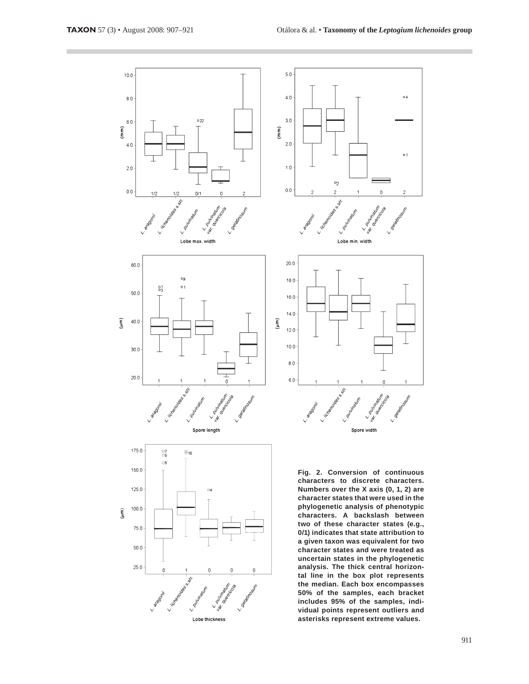

911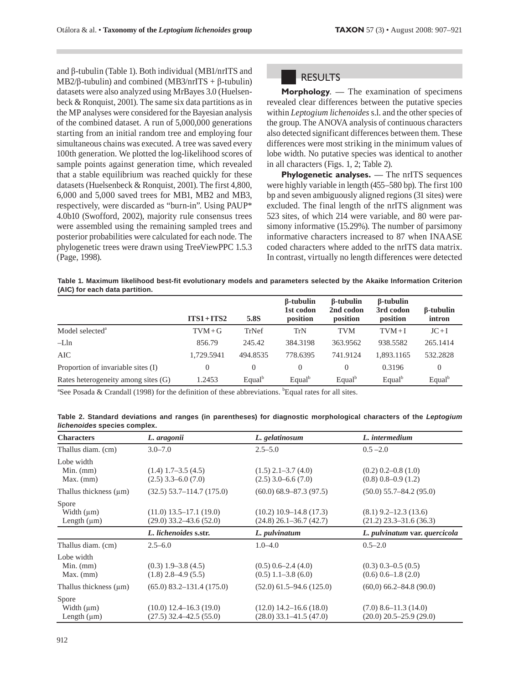and  $\beta$ -tubulin (Table 1). Both individual (MB1/nrITS and  $MB2/\beta$ -tubulin) and combined (MB3/nrITS +  $\beta$ -tubulin) datasets were also analyzed using MrBayes 3.0 (Huelsenbeck & Ronquist, 2001). The same six data partitions as in the MP analyses were considered for the Bayesian analysis of the combined dataset. A run of 5,000,000 generations starting from an initial random tree and employing four simultaneous chains was executed. A tree was saved every 100th generation. We plotted the log-likelihood scores of sample points against generation time, which revealed that a stable equilibrium was reached quickly for these datasets (Huelsenbeck & Ronquist, 2001). The first 4,800, 6,000 and 5,000 saved trees for MB1, MB2 and MB3, respectively, were discarded as "burn-in". Using PAUP\* 4.0b10 (Swofford, 2002), majority rule consensus trees were assembled using the remaining sampled trees and posterior probabilities were calculated for each node. The phylogenetic trees were drawn using TreeViewPPC 1.5.3 (Page, 1998).

## **RESULTS**

**Morphology.** — The examination of specimens revealed clear differences between the putative species within Leptogium lichenoides s.l. and the other species of the group. The ANOVA analysis of continuous characters also detected significant differences between them. These differences were most striking in the minimum values of lobe width. No putative species was identical to another in all characters (Figs. 1, 2; Table 2).

**Phylogenetic analyses.** — The nrITS sequences were highly variable in length (455–580 bp). The first 100 bp and seven ambiguously aligned regions (31 sites) were excluded. The final length of the nrITS alignment was 523 sites, of which 214 were variable, and 80 were parsimony informative (15.29%). The number of parsimony informative characters increased to 87 when INAASE coded characters where added to the nrITS data matrix. In contrast, virtually no length differences were detected

Table 1. Maximum likelihood best-fit evolutionary models and parameters selected by the Akaike Information Criterion (AIC) for each data partition.

|                                     | $ITS1 + ITS2$ | 5.8S      | $\beta$ -tubulin<br>1st codon<br>position | $\beta$ -tubulin<br>2nd codon<br>position | $\beta$ -tubulin<br>3rd codon<br>position | <b><i>B</i></b> -tubulin<br>intron |
|-------------------------------------|---------------|-----------|-------------------------------------------|-------------------------------------------|-------------------------------------------|------------------------------------|
| Model selected <sup>a</sup>         | $TVM+G$       | TrNef     | TrN                                       | TVM                                       | $TVM+I$                                   | $JC+I$                             |
| $-Lln$                              | 856.79        | 245.42    | 384.3198                                  | 363.9562                                  | 938.5582                                  | 265.1414                           |
| AIC                                 | 1.729.5941    | 494.8535  | 778.6395                                  | 741.9124                                  | 1.893.1165                                | 532.2828                           |
| Proportion of invariable sites (I)  | $\Omega$      | $\Omega$  | $\Omega$                                  | 0                                         | 0.3196                                    | $\theta$                           |
| Rates heterogeneity among sites (G) | 1.2453        | $Equal^b$ | Equal                                     | Equal <sup>b</sup>                        | Equal <sup>b</sup>                        | $Equal^b$                          |

<sup>a</sup>See Posada & Crandall (1998) for the definition of these abbreviations. <sup>b</sup>Equal rates for all sites.

| Table 2. Standard deviations and ranges (in parentheses) for diagnostic morphological characters of the Leptogium |  |  |  |
|-------------------------------------------------------------------------------------------------------------------|--|--|--|
| lichenoides species complex.                                                                                      |  |  |  |

| <b>Characters</b>                                                       | L. aragonii                                                                         | L. gelatinosum                                                                  | L. intermedium                                                                    |
|-------------------------------------------------------------------------|-------------------------------------------------------------------------------------|---------------------------------------------------------------------------------|-----------------------------------------------------------------------------------|
| Thallus diam. (cm)                                                      | $3.0 - 7.0$                                                                         | $2.5 - 5.0$                                                                     | $0.5 - 2.0$                                                                       |
| Lobe width<br>Min. $(mm)$<br>$Max.$ (mm)<br>Thallus thickness $(\mu m)$ | $(1.4)$ 1.7–3.5 $(4.5)$<br>$(2.5)$ 3.3–6.0 $(7.0)$<br>$(32.5)$ 53.7-114.7 $(175.0)$ | $(1.5)$ 2.1–3.7 $(4.0)$<br>$(2.5)$ 3.0–6.6 $(7.0)$<br>$(60.0)$ 68.9–87.3 (97.5) | $(0.2)$ 0.2–0.8 $(1.0)$<br>$(0.8)$ 0.8–0.9 $(1.2)$<br>$(50.0)$ 55.7–84.2 $(95.0)$ |
| Spore<br>Width $(\mu m)$<br>Length $(\mu m)$                            | $(11.0)$ 13.5–17.1 $(19.0)$<br>$(29.0)$ 33.2–43.6 $(52.0)$                          | $(10.2)$ 10.9–14.8 $(17.3)$<br>$(24.8)$ 26.1–36.7 $(42.7)$                      | $(8.1)$ 9.2–12.3 (13.6)<br>$(21.2)$ 23.3–31.6 (36.3)                              |
|                                                                         | L. lichenoides s.str.                                                               | L. pulvinatum                                                                   | L. pulvinatum var. quercicola                                                     |
| Thallus diam. (cm)                                                      | $2.5 - 6.0$                                                                         | $1.0 - 4.0$                                                                     | $0.5 - 2.0$                                                                       |
| Lobe width<br>Min. $(mm)$<br>$Max.$ (mm)                                | $(0.3)$ 1.9–3.8 $(4.5)$<br>$(1.8)$ 2.8–4.9 $(5.5)$                                  | $(0.5)$ 0.6–2.4 $(4.0)$<br>$(0.5)$ 1.1–3.8 $(6.0)$                              | $(0.3)$ 0.3-0.5 $(0.5)$<br>$(0.6)$ 0.6-1.8 $(2.0)$                                |
| Thallus thickness $(\mu m)$                                             | $(65.0)$ 83.2–131.4 $(175.0)$                                                       | $(52.0)$ 61.5–94.6 $(125.0)$                                                    | $(60,0)$ 66.2–84.8 (90.0)                                                         |
| Spore<br>Width $(\mu m)$<br>Length $(\mu m)$                            | $(10.0)$ 12.4–16.3 $(19.0)$<br>$(27.5)$ 32.4–42.5 $(55.0)$                          | $(12.0)$ 14.2–16.6 $(18.0)$<br>$(28.0)$ 33.1–41.5 (47.0)                        | $(7.0)$ 8.6–11.3 (14.0)<br>$(20.0)$ 20.5–25.9 $(29.0)$                            |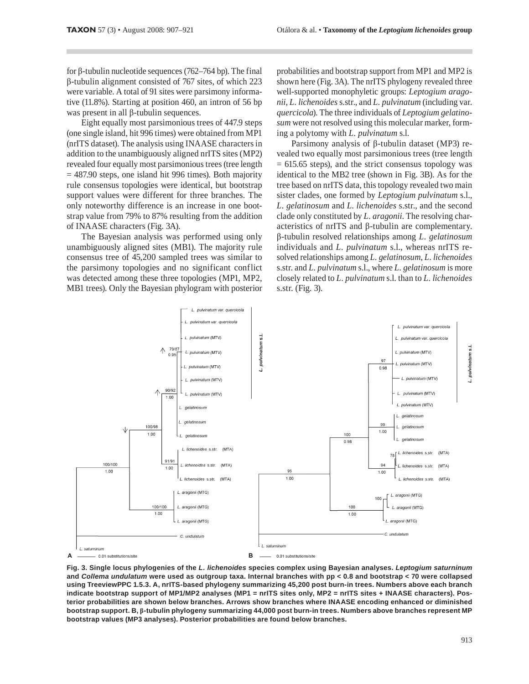for  $\beta$ -tubulin nucleotide sequences (762–764 bp). The final  $\beta$ -tubulin alignment consisted of 767 sites, of which 223 were variable. A total of 91 sites were parsimony informative (11.8%). Starting at position 460, an intron of 56 bp was present in all  $\beta$ -tubulin sequences.

Eight equally most parsimonious trees of 447.9 steps (one single island, hit 996 times) were obtained from MP1 (nrITS dataset). The analysis using INAASE characters in addition to the unambiguously aligned nrITS sites (MP2) revealed four equally most parsimonious trees (tree length  $=$  487.90 steps, one island hit 996 times). Both majority rule consensus topologies were identical, but bootstrap support values were different for three branches. The only noteworthy difference is an increase in one bootstrap value from 79% to 87% resulting from the addition of INAASE characters (Fig. 3A).

The Bayesian analysis was performed using only unambiguously aligned sites (MB1). The majority rule consensus tree of 45,200 sampled trees was similar to the parsimony topologies and no significant conflict was detected among these three topologies (MP1, MP2, MB1 trees). Only the Bayesian phylogram with posterior probabilities and bootstrap support from MP1 and MP2 is shown here (Fig. 3A). The nrITS phylogeny revealed three well-supported monophyletic groups: Leptogium aragonii, L. lichenoides s.str., and L. pulvinatum (including var. *quercicola*). The three individuals of *Leptogium gelatino*sum were not resolved using this molecular marker, forming a polytomy with L. pulvinatum s.l.

Parsimony analysis of  $\beta$ -tubulin dataset (MP3) revealed two equally most parsimonious trees (tree length  $= 615.65$  steps), and the strict consensus topology was identical to the MB2 tree (shown in Fig. 3B). As for the tree based on nrITS data, this topology revealed two main sister clades, one formed by Leptogium pulvinatum s.l., L. gelatinosum and L. lichenoides s.str., and the second clade only constituted by L. aragonii. The resolving characteristics of nrITS and  $\beta$ -tubulin are complementary.  $\beta$ -tubulin resolved relationships among *L. gelatinosum* individuals and L. pulvinatum s.l., whereas nrITS resolved relationships among L. gelatinosum, L. lichenoides s.str. and L. pulvinatum s.l., where L. gelatinosum is more closely related to L. pulvinatum s.l. than to L. lichenoides s.str. (Fig. 3).



Fig. 3. Single locus phylogenies of the L. lichenoides species complex using Bayesian analyses. Leptogium saturninum and Collema undulatum were used as outgroup taxa. Internal branches with pp < 0.8 and bootstrap < 70 were collapsed using TreeviewPPC 1.5.3. A, nrITS-based phylogeny summarizing 45,200 post burn-in trees. Numbers above each branch indicate bootstrap support of MP1/MP2 analyses (MP1 = nrITS sites only, MP2 = nrITS sites + INAASE characters). Posterior probabilities are shown below branches. Arrows show branches where INAASE encoding enhanced or diminished bootstrap support. B, β-tubulin phylogeny summarizing 44,000 post burn-in trees. Numbers above branches represent MP bootstrap values (MP3 analyses). Posterior probabilities are found below branches.

pulvinatum s.l.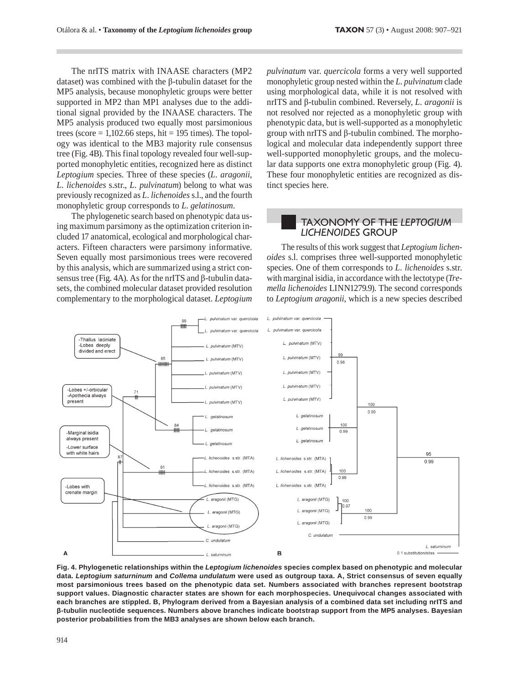The nrITS matrix with INAASE characters (MP2 dataset) was combined with the  $\beta$ -tubulin dataset for the MP5 analysis, because monophyletic groups were better supported in MP2 than MP1 analyses due to the additional signal provided by the INAASE characters. The MP5 analysis produced two equally most parsimonious trees (score =  $1,102.66$  steps, hit = 195 times). The topology was identical to the MB3 majority rule consensus tree (Fig. 4B). This final topology revealed four well-supported monophyletic entities, recognized here as distinct Leptogium species. Three of these species (L. aragonii, L. lichenoides s.str., L. pulvinatum) belong to what was previously recognized as L. lichenoides s.l., and the fourth monophyletic group corresponds to L. gelatinosum.

The phylogenetic search based on phenotypic data using maximum parsimony as the optimization criterion included 17 anatomical, ecological and morphological characters. Fifteen characters were parsimony informative. Seven equally most parsimonious trees were recovered by this analysis, which are summarized using a strict consensus tree (Fig. 4A). As for the nrITS and  $\beta$ -tubulin datasets, the combined molecular dataset provided resolution complementary to the morphological dataset. Leptogium pulvinatum var. quercicola forms a very well supported monophyletic group nested within the L. pulvinatum clade using morphological data, while it is not resolved with nrITS and  $\beta$ -tubulin combined. Reversely, *L. aragonii* is not resolved nor rejected as a monophyletic group with phenotypic data, but is well-supported as a monophyletic group with  $nITS$  and  $\beta$ -tubulin combined. The morphological and molecular data independently support three well-supported monophyletic groups, and the molecular data supports one extra monophyletic group (Fig. 4). These four monophyletic entities are recognized as distinct species here.

### **TAXONOMY OF THE LEPTOGIUM LICHENOIDES GROUP**

The results of this work suggest that Leptogium lichenoides s.l. comprises three well-supported monophyletic species. One of them corresponds to L. lichenoides s.str. with marginal isidia, in accordance with the lectotype (Tremella lichenoides LINN1279.9). The second corresponds to Leptogium aragonii, which is a new species described



Fig. 4. Phylogenetic relationships within the Leptogium lichenoides species complex based on phenotypic and molecular data. Leptogium saturninum and Collema undulatum were used as outgroup taxa. A, Strict consensus of seven equally most parsimonious trees based on the phenotypic data set. Numbers associated with branches represent bootstrap support values. Diagnostic character states are shown for each morphospecies. Unequivocal changes associated with each branches are stippled. B, Phylogram derived from a Bayesian analysis of a combined data set including nrITS and β-tubulin nucleotide sequences. Numbers above branches indicate bootstrap support from the MP5 analyses. Bayesian posterior probabilities from the MB3 analyses are shown below each branch.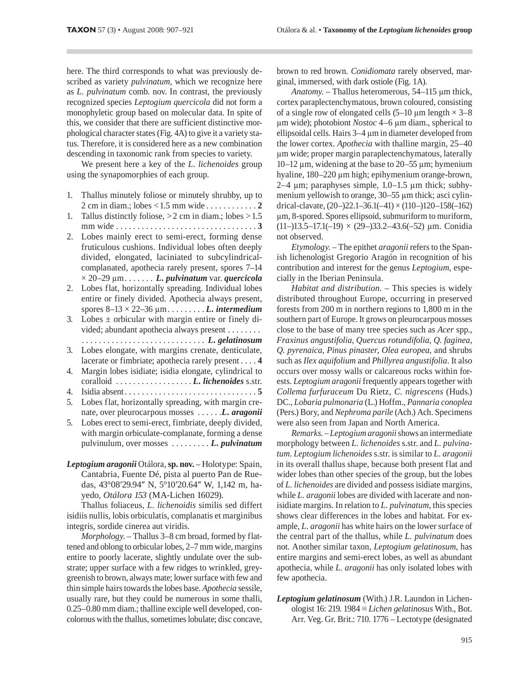here. The third corresponds to what was previously described as variety *pulvinatum*, which we recognize here as L. pulvinatum comb. nov. In contrast, the previously recognized species Leptogium quercicola did not form a monophyletic group based on molecular data. In spite of this, we consider that there are sufficient distinctive morphological character states (Fig. 4A) to give it a variety status. Therefore, it is considered here as a new combination descending in taxonomic rank from species to variety.

We present here a key of the L. lichenoides group using the synapomorphies of each group.

- 1. Thallus minutely foliose or minutely shrubby, up to 2 cm in diam.; lobes < 1.5 mm wide . . . . . . . . . . . . 2
- 1. Tallus distinctly foliose,  $>2$  cm in diam.; lobes  $>1.5$ mm wide  $\dots \dots \dots \dots \dots \dots \dots \dots \dots \dots \dots \dots$
- Lobes mainly erect to semi-erect, forming dense 2. fruticulous cushions. Individual lobes often deeply divided, elongated, laciniated to subcylindricalcomplanated, apothecia rarely present, spores 7-14  $\times$  20–29 µm....... L. pulvinatum var. quercicola
- 2. Lobes flat, horizontally spreading. Individual lobes entire or finely divided. Apothecia always present, spores  $8-13 \times 22-36 \mu m \ldots \ldots \ldots$  L. intermedium
- 3. Lobes  $\pm$  orbicular with margin entire or finely divided; abundant apothecia always present . . . . . . . .
- Lobes elongate, with margins crenate, denticulate, 3. lacerate or fimbriate; apothecia rarely present . . . . 4
- Margin lobes isidiate; isidia elongate, cylindrical to 4.
- 4.
- 5. Lobes flat, horizontally spreading, with margin crenate, over pleurocarpous mosses ...... L. aragonii
- Lobes erect to semi-erect, fimbriate, deeply divided, 5. with margin orbiculate-complanate, forming a dense pulvinulum, over mosses ........ L. pulvinatum
- Leptogium aragonii Otálora, sp. nov. Holotype: Spain, Cantabria, Fuente Dé, pista al puerto Pan de Ruedas, 43°08′29.94″ N, 5°10′20.64″ W, 1,142 m, hayedo, Otálora 153 (MA-Lichen 16029).

Thallus foliaceus, L. lichenoidis similis sed differt isidiis nullis, lobis orbiculatis, complanatis et marginibus integris, sordide cinerea aut viridis.

Morphology. - Thallus 3-8 cm broad, formed by flattened and oblong to orbicular lobes, 2-7 mm wide, margins entire to poorly lacerate, slightly undulate over the substrate; upper surface with a few ridges to wrinkled, greygreenish to brown, always mate; lower surface with few and thin simple hairs towards the lobes base. Apothecia sessile, usually rare, but they could be numerous in some thalli, 0.25-0.80 mm diam.; thalline exciple well developed, concolorous with the thallus, sometimes lobulate; disc concave, brown to red brown. Conidiomata rarely observed, marginal, immersed, with dark ostiole (Fig. 1A).

Anatomy. - Thallus heteromerous, 54-115 µm thick, cortex paraplectenchymatous, brown coloured, consisting of a single row of elongated cells  $(5-10 \mu m \text{ length} \times 3-8$ um wide); photobiont Nostoc 4–6 um diam., spherical to ellipsoidal cells. Hairs 3-4 µm in diameter developed from the lower cortex. Apothecia with thalline margin, 25-40 µm wide; proper margin paraplectenchymatous, laterally 10–12  $\mu$ m, widening at the base to 20–55  $\mu$ m; hymenium hyaline, 180-220 µm high; epihymenium orange-brown,  $2-4 \mu m$ ; paraphyses simple, 1.0–1.5  $\mu$ m thick; subhymenium yellowish to orange, 30–55 µm thick; asci cylindrical-clavate,  $(20-)22.1-36.1(-41) \times (110-)120-158(-162)$ µm, 8-spored. Spores ellipsoid, submuriform to muriform,  $(11-)13.5-17.1(-19) \times (29-)33.2-43.6(-52) \mu m.$  Conidia not observed.

Etymology. - The epithet aragonii refers to the Spanish lichenologist Gregorio Aragón in recognition of his contribution and interest for the genus Leptogium, especially in the Iberian Peninsula.

Habitat and distribution. - This species is widely distributed throughout Europe, occurring in preserved forests from 200 m in northern regions to 1,800 m in the southern part of Europe. It grows on pleurocarpous mosses close to the base of many tree species such as Acer spp., Fraxinus angustifolia, Quercus rotundifolia, Q. faginea, Q. pyrenaica, Pinus pinaster, Olea europea, and shrubs such as Ilex aquifolium and Phillyrea angustifolia. It also occurs over mossy walls or calcareous rocks within forests. Leptogium aragonii frequently appears together with Collema furfuraceum Du Rietz, C. nigrescens (Huds.) DC., Lobaria pulmonaria (L.) Hoffm., Pannaria conoplea (Pers.) Bory, and Nephroma parile (Ach.) Ach. Specimens were also seen from Japan and North America.

Remarks. - Leptogium aragonii shows an intermediate morphology between L. lichenoides s.str. and L. pulvinatum. Leptogium lichenoides s.str. is similar to L. aragonii in its overall thallus shape, because both present flat and wider lobes than other species of the group, but the lobes of L. lichenoides are divided and possess isidiate margins, while L. aragonii lobes are divided with lacerate and nonisidiate margins. In relation to L. pulvinatum, this species shows clear differences in the lobes and habitat. For example, L. aragonii has white hairs on the lower surface of the central part of the thallus, while L. pulvinatum does not. Another similar taxon, Leptogium gelatinosum, has entire margins and semi-erect lobes, as well as abundant apothecia, while L. aragonii has only isolated lobes with few apothecia.

Leptogium gelatinosum (With.) J.R. Laundon in Lichenologist 16: 219. 1984  $\equiv$  *Lichen gelatinosus* With., Bot. Arr. Veg. Gr. Brit.: 710. 1776 - Lectotype (designated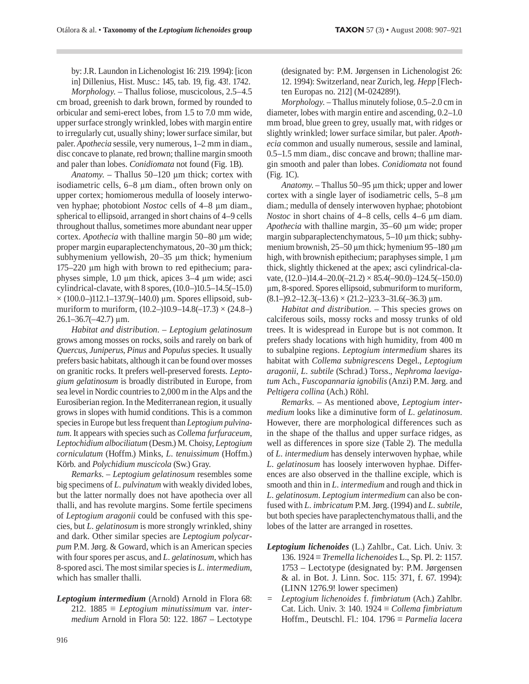by: J.R. Laundon in Lichenologist 16: 219. 1994): [icon in] Dillenius, Hist. Musc.: 145, tab. 19, fig. 43!. 1742.

Morphology. - Thallus foliose, muscicolous, 2.5-4.5 cm broad, greenish to dark brown, formed by rounded to orbicular and semi-erect lobes, from 1.5 to 7.0 mm wide, upper surface strongly wrinkled, lobes with margin entire to irregularly cut, usually shiny; lower surface similar, but paler. Apothecia sessile, very numerous, 1-2 mm in diam., disc concave to planate, red brown; thalline margin smooth and paler than lobes. Conidiomata not found (Fig. 1B).

Anatomy. - Thallus 50-120 µm thick; cortex with isodiametric cells, 6–8 µm diam., often brown only on upper cortex; homiomerous medulla of loosely interwoven hyphae; photobiont *Nostoc* cells of 4-8 µm diam., spherical to ellipsoid, arranged in short chains of 4–9 cells throughout thallus, sometimes more abundant near upper cortex. Apothecia with thalline margin 50-80 µm wide; proper margin euparaplectenchymatous, 20–30 µm thick; subhymenium yellowish, 20–35 µm thick; hymenium 175-220 μm high with brown to red epithecium; paraphyses simple, 1.0 µm thick, apices 3-4 µm wide; asci cylindrical-clavate, with 8 spores, (10.0-)10.5-14.5(-15.0)  $\times$  (100.0–)112.1–137.9(–140.0) µm. Spores ellipsoid, submuriform to muriform,  $(10.2-)10.9-14.8(-17.3) \times (24.8-)$  $26.1 - 36.7(-42.7)$  µm.

Habitat and distribution. - Leptogium gelatinosum grows among mosses on rocks, soils and rarely on bark of Quercus, Juniperus, Pinus and Populus species. It usually prefers basic habitats, although it can be found over mosses on granitic rocks. It prefers well-preserved forests. Leptogium gelatinosum is broadly distributed in Europe, from sea level in Nordic countries to 2,000 m in the Alps and the Eurosiberian region. In the Mediterranean region, it usually grows in slopes with humid conditions. This is a common species in Europe but less frequent than Leptogium pulvinatum. It appears with species such as Collema furfuraceum, Leptochidium albociliatum (Desm.) M. Choisy, Leptogium corniculatum (Hoffm.) Minks, L. tenuissimum (Hoffm.) Körb. and Polychidium muscicola (Sw.) Gray.

Remarks. - Leptogium gelatinosum resembles some big specimens of L. pulvinatum with weakly divided lobes, but the latter normally does not have apothecia over all thalli, and has revolute margins. Some fertile specimens of Leptogium aragonii could be confused with this species, but L. gelatinosum is more strongly wrinkled, shiny and dark. Other similar species are Leptogium polycarpum P.M. Jørg. & Goward, which is an American species with four spores per ascus, and L. gelatinosum, which has 8-spored asci. The most similar species is L. intermedium, which has smaller thalli.

Leptogium intermedium (Arnold) Arnold in Flora 68: 212. 1885  $\equiv$  Leptogium minutissimum var. intermedium Arnold in Flora 50: 122. 1867 - Lectotype (designated by: P.M. Jørgensen in Lichenologist 26: 12. 1994): Switzerland, near Zurich, leg. Hepp [Flechten Europas no. 212] (M-024289!).

Morphology. - Thallus minutely foliose, 0.5–2.0 cm in diameter, lobes with margin entire and ascending, 0.2-1.0 mm broad, blue green to grey, usually mat, with ridges or slightly wrinkled; lower surface similar, but paler. Apothecia common and usually numerous, sessile and laminal, 0.5-1.5 mm diam., disc concave and brown; thalline margin smooth and paler than lobes. Conidiomata not found  $(Fig. 1C)$ .

Anatomy. – Thallus 50–95 µm thick; upper and lower cortex with a single layer of isodiametric cells, 5–8 µm diam.; medulla of densely interwoven hyphae; photobiont *Nostoc* in short chains of  $4-8$  cells, cells  $4-6 \mu m$  diam. Apothecia with thalline margin, 35–60 µm wide; proper margin subparaplectenchymatous, 5-10 µm thick; subhymenium brownish,  $25-50 \mu m$  thick; hymenium 95-180  $\mu m$ high, with brownish epithecium; paraphyses simple, 1 μm thick, slightly thickened at the apex; asci cylindrical-clavate,  $(12.0-14.4-20.0(-21.2) \times 85.4(-90.0)-124.5(-150.0)$ µm, 8-spored. Spores ellipsoid, submuriform to muriform,  $(8.1-)9.2-12.3(-13.6) \times (21.2-)23.3-31.6(-36.3) \mu m.$ 

Habitat and distribution. - This species grows on calciferous soils, mossy rocks and mossy trunks of old trees. It is widespread in Europe but is not common. It prefers shady locations with high humidity, from 400 m to subalpine regions. Leptogium intermedium shares its habitat with Collema subnigrescens Degel., Leptogium aragonii, L. subtile (Schrad.) Torss., Nephroma laevigatum Ach., Fuscopannaria ignobilis (Anzi) P.M. Jørg. and Peltigera collina (Ach.) Röhl.

Remarks. - As mentioned above, Leptogium intermedium looks like a diminutive form of L. gelatinosum. However, there are morphological differences such as in the shape of the thallus and upper surface ridges, as well as differences in spore size (Table 2). The medulla of L. intermedium has densely interwoven hyphae, while L. gelatinosum has loosely interwoven hyphae. Differences are also observed in the thalline exciple, which is smooth and thin in L. intermedium and rough and thick in L. gelatinosum. Leptogium intermedium can also be confused with L. imbricatum P.M. Jørg. (1994) and L. subtile, but both species have paraplectenchymatous thalli, and the lobes of the latter are arranged in rosettes.

- Leptogium lichenoides (L.) Zahlbr., Cat. Lich. Univ. 3: 136. 1924 ≡ Tremella lichenoides L., Sp. Pl. 2: 1157. 1753 – Lectotype (designated by: P.M. Jørgensen & al. in Bot. J. Linn. Soc. 115: 371, f. 67. 1994): (LINN 1276.9! lower specimen)
- $\equiv$ Leptogium lichenoides f. fimbriatum (Ach.) Zahlbr. Cat. Lich. Univ. 3: 140. 1924  $\equiv$  Collema fimbriatum Hoffm., Deutschl. Fl.: 104. 1796  $\equiv$  Parmelia lacera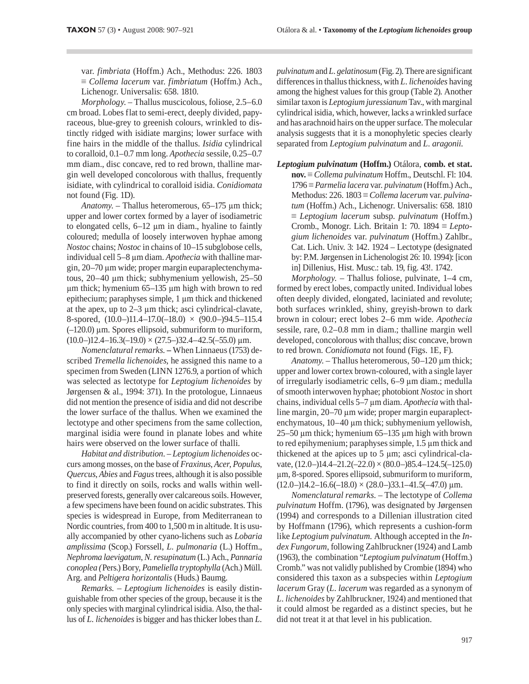var. fimbriata (Hoffm.) Ach., Methodus: 226. 1803  $\equiv$  Collema lacerum var. fimbriatum (Hoffm.) Ach., Lichenogr. Universalis: 658. 1810.

Morphology. - Thallus muscicolous, foliose, 2.5–6.0 cm broad. Lobes flat to semi-erect, deeply divided, papyraceous, blue-grey to greenish colours, wrinkled to distinctly ridged with isidiate margins; lower surface with fine hairs in the middle of the thallus. Isidia cylindrical to coralloid, 0.1–0.7 mm long. Apothecia sessile, 0.25–0.7 mm diam., disc concave, red to red brown, thalline margin well developed concolorous with thallus, frequently isidiate, with cylindrical to coralloid isidia. Conidiomata not found (Fig. 1D).

Anatomy. - Thallus heteromerous, 65-175 µm thick; upper and lower cortex formed by a layer of isodiametric to elongated cells,  $6-12 \mu m$  in diam., hyaline to faintly coloured; medulla of loosely interwoven hyphae among Nostoc chains; Nostoc in chains of 10–15 subglobose cells, individual cell 5-8 µm diam. Apothecia with thalline margin, 20–70 µm wide; proper margin euparaplectenchymatous,  $20-40$  µm thick; subhymenium yellowish,  $25-50$  $\mu$ m thick; hymenium 65-135  $\mu$ m high with brown to red epithecium; paraphyses simple, 1 µm thick and thickened at the apex, up to  $2-3$  µm thick; asci cylindrical-clavate, 8-spored,  $(10.0-)11.4-17.0(-18.0) \times (90.0-)94.5-115.4$  $(-120.0)$  µm. Spores ellipsoid, submuriform to muriform,  $(10.0-)12.4-16.3(-19.0) \times (27.5-)32.4-42.5(-55.0) \text{ µm}.$ 

Nomenclatural remarks. - When Linnaeus (1753) described Tremella lichenoides, he assigned this name to a specimen from Sweden (LINN 1276.9, a portion of which was selected as lectotype for Leptogium lichenoides by Jørgensen & al., 1994: 371). In the protologue, Linnaeus did not mention the presence of isidia and did not describe the lower surface of the thallus. When we examined the lectotype and other specimens from the same collection, marginal isidia were found in planate lobes and white hairs were observed on the lower surface of thalli.

Habitat and distribution. - Leptogium lichenoides occurs among mosses, on the base of Fraxinus, Acer, Populus, Quercus, Abies and Fagus trees, although it is also possible to find it directly on soils, rocks and walls within wellpreserved forests, generally over calcareous soils. However, a few specimens have been found on acidic substrates. This species is widespread in Europe, from Mediterranean to Nordic countries, from 400 to 1,500 m in altitude. It is usually accompanied by other cyano-lichens such as Lobaria amplissima (Scop.) Forssell, L. pulmonaria (L.) Hoffm., Nephroma laevigatum, N. resupinatum (L.) Ach., Pannaria conoplea (Pers.) Bory, Pameliella tryptophylla (Ach.) Müll. Arg. and Peltigera horizontalis (Huds.) Baumg.

Remarks. - Leptogium lichenoides is easily distinguishable from other species of the group, because it is the only species with marginal cylindrical isidia. Also, the thallus of L. lichenoides is bigger and has thicker lobes than L.

pulvinatum and L. gelatinosum (Fig. 2). There are significant differences in thallus thickness, with L. lichenoides having among the highest values for this group (Table 2). Another similar taxon is Leptogium juressianum Tav., with marginal cylindrical isidia, which, however, lacks a wrinkled surface and has arachnoid hairs on the upper surface. The molecular analysis suggests that it is a monophyletic species clearly separated from Leptogium pulvinatum and L. aragonii.

# Leptogium pulvinatum (Hoffm.) Otálora, comb. et stat.

 $nov. \equiv$  *Collema pulvinatum* Hoffm., Deutschl. Fl: 104. 1796 = Parmelia lacera var. pulvinatum (Hoffm.) Ach., Methodus: 226. 1803  $\equiv$  Collema lacerum var. pulvinatum (Hoffm.) Ach., Lichenogr. Universalis: 658. 1810  $\equiv$  Leptogium lacerum subsp. pulvinatum (Hoffm.) Cromb., Monogr. Lich. Britain 1: 70. 1894  $\equiv$  Leptogium lichenoides var. pulvinatum (Hoffm.) Zahlbr., Cat. Lich. Univ. 3: 142. 1924 – Lectotype (designated by: P.M. Jørgensen in Lichenologist 26: 10. 1994): [icon in] Dillenius, Hist. Musc.: tab. 19, fig. 43!. 1742.

Morphology. - Thallus foliose, pulvinate, 1-4 cm, formed by erect lobes, compactly united. Individual lobes often deeply divided, elongated, laciniated and revolute; both surfaces wrinkled, shiny, greyish-brown to dark brown in colour; erect lobes 2-6 mm wide. Apothecia sessile, rare, 0.2–0.8 mm in diam.; thalline margin well developed, concolorous with thallus; disc concave, brown to red brown. Conidiomata not found (Figs. 1E, F).

Anatomy. - Thallus heteromerous, 50-120 µm thick; upper and lower cortex brown-coloured, with a single layer of irregularly isodiametric cells, 6-9 µm diam.; medulla of smooth interwoven hyphae; photobiont Nostoc in short chains, individual cells 5–7 µm diam. Apothecia with thalline margin, 20–70 µm wide; proper margin euparaplectenchymatous, 10–40 µm thick; subhymenium yellowish, 25–50  $\mu$ m thick; hymenium 65–135  $\mu$ m high with brown to red epihymenium; paraphyses simple, 1.5 µm thick and thickened at the apices up to 5 µm; asci cylindrical-clavate,  $(12.0-14.4-21.2(-22.0) \times (80.0-85.4-124.5(-125.0))$ um, 8-spored. Spores ellipsoid, submuriform to muriform,  $(12.0-)14.2-16.6(-18.0) \times (28.0-)33.1-41.5(-47.0) \mu m.$ 

Nomenclatural remarks. - The lectotype of Collema *pulvinatum* Hoffm. (1796), was designated by Jørgensen (1994) and corresponds to a Dillenian illustration cited by Hoffmann (1796), which represents a cushion-form like Leptogium pulvinatum. Although accepted in the Index Fungorum, following Zahlbruckner (1924) and Lamb (1963), the combination "Leptogium pulvinatum (Hoffm.) Cromb." was not validly published by Crombie (1894) who considered this taxon as a subspecies within Leptogium lacerum Gray (L. lacerum was regarded as a synonym of L. lichenoides by Zahlbruckner, 1924) and mentioned that it could almost be regarded as a distinct species, but he did not treat it at that level in his publication.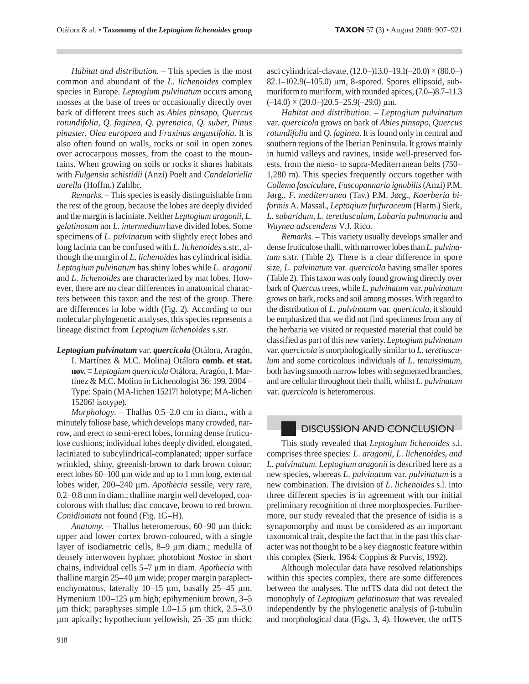Habitat and distribution. - This species is the most common and abundant of the L. lichenoides complex species in Europe. Leptogium pulvinatum occurs among mosses at the base of trees or occasionally directly over bark of different trees such as Abies pinsapo, Quercus rotundifolia, Q. faginea, Q. pyrenaica, Q. suber, Pinus pinaster, Olea europaea and Fraxinus angustifolia. It is also often found on walls, rocks or soil in open zones over acrocarpous mosses, from the coast to the mountains. When growing on soils or rocks it shares habitats with Fulgensia schistidii (Anzi) Poelt and Candelariella aurella (Hoffm.) Zahlbr.

Remarks. - This species is easily distinguishable from the rest of the group, because the lobes are deeply divided and the margin is laciniate. Neither Leptogium aragonii, L. gelatinosum nor L. intermedium have divided lobes. Some specimens of L. pulvinatum with slightly erect lobes and long lacinia can be confused with L. lichenoides s.str., although the margin of L. lichenoides has cylindrical isidia. Leptogium pulvinatum has shiny lobes while L. aragonii and L. lichenoides are characterized by mat lobes. However, there are no clear differences in anatomical characters between this taxon and the rest of the group. There are differences in lobe width (Fig. 2). According to our molecular phylogenetic analyses, this species represents a lineage distinct from Leptogium lichenoides s.str.

Leptogium pulvinatum var. quercicola (Otálora, Aragón, I. Martínez & M.C. Molina) Otálora comb. et stat.  $nov. \equiv Leptogium quercicola Otálora, Aragón, I. Mar$ tínez & M.C. Molina in Lichenologist 36: 199. 2004 – Type: Spain (MA-lichen 15217! holotype; MA-lichen 15206! isotype).

Morphology. - Thallus 0.5-2.0 cm in diam., with a minutely foliose base, which develops many crowded, narrow, and erect to semi-erect lobes, forming dense fruticulose cushions; individual lobes deeply divided, elongated, laciniated to subcylindrical-complanated; upper surface wrinkled, shiny, greenish-brown to dark brown colour; erect lobes 60–100 μm wide and up to 1 mm long, external lobes wider, 200-240 µm. Apothecia sessile, very rare, 0.2–0.8 mm in diam.; thalline margin well developed, concolorous with thallus; disc concave, brown to red brown. Conidiomata not found (Fig. 1G-H).

Anatomy. - Thallus heteromerous, 60-90 µm thick; upper and lower cortex brown-coloured, with a single layer of isodiametric cells, 8–9 µm diam.; medulla of densely interwoven hyphae; photobiont Nostoc in short chains, individual cells 5–7 µm in diam. Apothecia with thalline margin 25-40 μm wide; proper margin paraplectenchymatous, laterally 10-15 µm, basally 25-45 µm. Hymenium 100–125 µm high; epihymenium brown, 3–5  $\mu$ m thick; paraphyses simple 1.0-1.5  $\mu$ m thick, 2.5-3.0  $\mu$ m apically; hypothecium yellowish, 25–35  $\mu$ m thick; asci cylindrical-clavate, (12.0–)13.0–19.1(–20.0) × (80.0–) 82.1-102.9(-105.0) μm, 8-spored. Spores ellipsoid, submuriform to muriform, with rounded apices, (7.0–)8.7–11.3  $(-14.0) \times (20.0-)20.5-25.9(-29.0) \mu m.$ 

Habitat and distribution. - Leptogium pulvinatum var. quercicola grows on bark of Abies pinsapo, Quercus rotundifolia and Q. faginea. It is found only in central and southern regions of the Iberian Peninsula. It grows mainly in humid valleys and ravines, inside well-preserved forests, from the meso- to supra-Mediterranean belts (750-1,280 m). This species frequently occurs together with Collema fasciculare, Fuscopannaria ignobilis (Anzi) P.M. Jørg., F. mediterranea (Tav.) P.M. Jørg., Koerberia biformis A. Massal., Leptogium furfuraceum (Harm.) Sierk, L. subaridum, L. teretiusculum, Lobaria pulmonaria and Waynea adscendens V.J. Rico.

Remarks. - This variety usually develops smaller and dense fruticulose thalli, with narrower lobes than L. pulvinatum s.str. (Table 2). There is a clear difference in spore size, L. pulvinatum var. quercicola having smaller spores (Table 2). This taxon was only found growing directly over bark of Quercus trees, while L. pulvinatum var. pulvinatum grows on bark, rocks and soil among mosses. With regard to the distribution of L. pulvinatum var. quercicola, it should be emphasized that we did not find specimens from any of the herbaria we visited or requested material that could be classified as part of this new variety. Leptogium pulvinatum var. quercicola is morphologically similar to L. teretiusculum and some corticolous individuals of L, tenuissimum. both having smooth narrow lobes with segmented branches, and are cellular throughout their thalli, whilst L. pulvinatum var. quercicola is heteromerous.

## **DISCUSSION AND CONCLUSION**

This study revealed that Leptogium lichenoides s.l. comprises three species: L. aragonii, L. lichenoides, and L. pulvinatum. Leptogium aragonii is described here as a new species, whereas L. pulvinatum var. pulvinatum is a new combination. The division of L. lichenoides s.l. into three different species is in agreement with our initial preliminary recognition of three morphospecies. Furthermore, our study revealed that the presence of isidia is a synapomorphy and must be considered as an important taxonomical trait, despite the fact that in the past this character was not thought to be a key diagnostic feature within this complex (Sierk, 1964; Coppins & Purvis, 1992).

Although molecular data have resolved relationships within this species complex, there are some differences between the analyses. The nrITS data did not detect the monophyly of Leptogium gelatinosum that was revealed independently by the phylogenetic analysis of  $\beta$ -tubulin and morphological data (Figs. 3, 4). However, the nrITS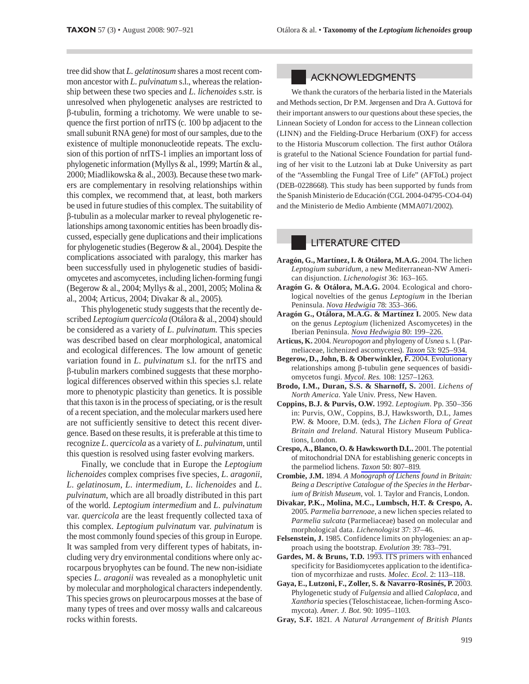tree did show that L. gelatinosum shares a most recent common ancestor with L. pulvinatum s.l., whereas the relationship between these two species and L. lichenoides s.str. is unresolved when phylogenetic analyses are restricted to  $\beta$ -tubulin, forming a trichotomy. We were unable to sequence the first portion of nrITS (c. 100 bp adjacent to the small subunit RNA gene) for most of our samples, due to the existence of multiple mononucleotide repeats. The exclusion of this portion of nrITS-1 implies an important loss of phylogenetic information (Myllys & al., 1999; Martín & al., 2000; Miadlikowska & al., 2003). Because these two markers are complementary in resolving relationships within this complex, we recommend that, at least, both markers be used in future studies of this complex. The suitability of  $\beta$ -tubulin as a molecular marker to reveal phylogenetic relationships among taxonomic entities has been broadly discussed, especially gene duplications and their implications for phylogenetic studies (Begerow  $\&$  al., 2004). Despite the complications associated with paralogy, this marker has been successfully used in phylogenetic studies of basidiomycetes and ascomycetes, including lichen-forming fungi (Begerow & al., 2004; Myllys & al., 2001, 2005; Molina & al., 2004; Articus, 2004; Divakar & al., 2005).

This phylogenetic study suggests that the recently described Leptogium quercicola (Otálora & al., 2004) should be considered as a variety of *L. pulvinatum*. This species was described based on clear morphological, anatomical and ecological differences. The low amount of genetic variation found in L. pulvinatum s.l. for the nrITS and  $\beta$ -tubulin markers combined suggests that these morphological differences observed within this species s.l. relate more to phenotypic plasticity than genetics. It is possible that this taxon is in the process of speciating, or is the result of a recent speciation, and the molecular markers used here are not sufficiently sensitive to detect this recent divergence. Based on these results, it is preferable at this time to recognize L. quercicola as a variety of L. pulvinatum, until this question is resolved using faster evolving markers.

Finally, we conclude that in Europe the Leptogium lichenoides complex comprises five species, L. aragonii, L. gelatinosum, L. intermedium, L. lichenoides and L. *pulvinatum*, which are all broadly distributed in this part of the world. Leptogium intermedium and L. pulvinatum var. *quercicola* are the least frequently collected taxa of this complex. Leptogium pulvinatum var. pulvinatum is the most commonly found species of this group in Europe. It was sampled from very different types of habitats, including very dry environmental conditions where only acrocarpous bryophytes can be found. The new non-isidiate species L. aragonii was revealed as a monophyletic unit by molecular and morphological characters independently. This species grows on pleurocarpous mosses at the base of many types of trees and over mossy walls and calcareous rocks within forests.

#### **ACKNOWLEDGMENTS**

We thank the curators of the herbaria listed in the Materials and Methods section, Dr P.M. Jørgensen and Dra A. Guttová for their important answers to our questions about these species, the Linnean Society of London for access to the Linnean collection (LINN) and the Fielding-Druce Herbarium (OXF) for access to the Historia Muscorum collection. The first author Otálora is grateful to the National Science Foundation for partial funding of her visit to the Lutzoni lab at Duke University as part of the "Assembling the Fungal Tree of Life" (AFToL) project (DEB-0228668). This study has been supported by funds from the Spanish Ministerio de Educación (CGL 2004-04795-CO4-04) and the Ministerio de Medio Ambiente (MMA071/2002).

### **LITERATURE CITED**

- Aragón, G., Martínez, I. & Otálora, M.A.G. 2004. The lichen Leptogium subaridum, a new Mediterranean-NW American disjunction. Lichenologist 36: 163-165.
- Aragón G. & Otálora, M.A.G. 2004. Ecological and chorological novelties of the genus Leptogium in the Iberian Peninsula. Nova Hedwigia 78: 353-366.
- Aragón G., Otálora, M.A.G. & Martínez I. 2005. New data on the genus *Leptogium* (lichenized Ascomycetes) in the Iberian Peninsula. Nova Hedwigia 80: 199-226.
- Articus, K. 2004. Neuropogon and phylogeny of Usnea s. l. (Parmeliaceae, lichenized ascomycetes). Taxon 53: 925-934.
- Begerow, D., John, B. & Oberwinkler, F. 2004. Evolutionary relationships among  $\beta$ -tubulin gene sequences of basidiomycetos fungi. Mycol. Res. 108: 1257-1263.
- Brodo, I.M., Duran, S.S. & Sharnoff, S. 2001. Lichens of North America. Yale Univ. Press, New Haven.
- Coppins, B.J. & Purvis, O.W. 1992. Leptogium. Pp. 350-356 in: Purvis, O.W., Coppins, B.J, Hawksworth, D.L, James P.W. & Moore, D.M. (eds.), The Lichen Flora of Great Britain and Ireland. Natural History Museum Publications, London.
- Crespo, A., Blanco, O. & Hawksworth D.L. 2001. The potential of mitochondrial DNA for establishing generic concepts in the parmeliod lichens. Taxon 50: 807-819.
- Crombie, J.M. 1894. A Monograph of Lichens found in Britain: Being a Descriptive Catalogue of the Species in the Herbarium of British Museum, vol. 1. Taylor and Francis, London.
- Divakar, P.K., Molina, M.C., Lumbsch, H.T. & Crespo, A. 2005. Parmelia barrenoae, a new lichen species related to Parmelia sulcata (Parmeliaceae) based on molecular and morphological data. Lichenologist 37: 37-46.
- Felsenstein, J. 1985. Confidence limits on phylogenies: an approach using the bootstrap. Evolution 39: 783-791.
- Gardes, M. & Bruns, T.D. 1993. ITS primers with enhanced specificity for Basidiomycetes application to the identification of mycorrhizae and rusts. Molec. Ecol. 2: 113-118.
- Gaya, E., Lutzoni, F., Zoller, S. & Navarro-Rosinés, P. 2003. Phylogenetic study of Fulgensia and allied Caloplaca, and Xanthoria species (Teloschistaceae, lichen-forming Ascomycota). Amer. J. Bot. 90: 1095-1103.
- Gray, S.F. 1821. A Natural Arrangement of British Plants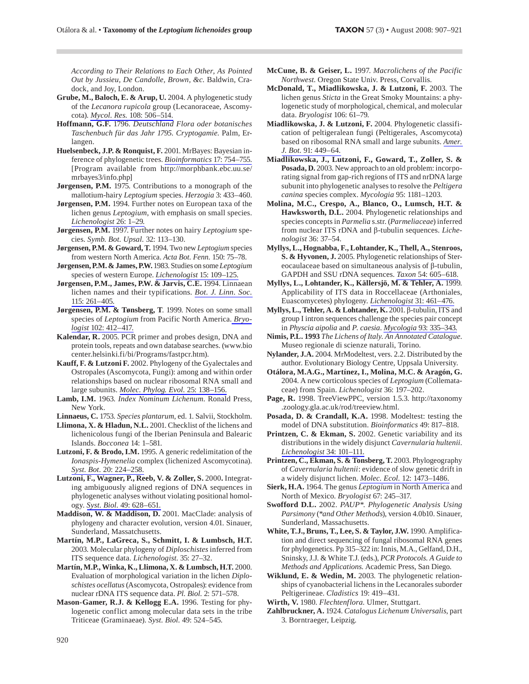**TAXON** 57 (3) • August 2008: 907-921

According to Their Relations to Each Other, As Pointed Out by Jussieu, De Candolle, Brown, &c. Baldwin, Cradock, and Joy, London.

- Grube, M., Baloch, E. & Arup, U. 2004. A phylogenetic study of the Lecanora rupicola group (Lecanoraceae, Ascomycota). Mycol. Res. 108: 506-514.
- Hoffmann, G.F. 1796. Deutschland Flora oder botanisches Taschenbuch für das Jahr 1795. Cryptogamie. Palm, Erlangen.
- Huelsenbeck, J.P. & Ronquist, F. 2001. MrBayes: Bayesian inference of phylogenetic trees. Bioinformatics 17: 754-755. [Program available from http://morphbank.ebc.uu.se/ mrbayes3/info.php]
- Jørgensen, P.M. 1975. Contributions to a monograph of the mallotium-hairy Leptogium species. Herzogia 3: 433-460.
- Jørgensen, P.M. 1994. Further notes on European taxa of the lichen genus Leptogium, with emphasis on small species. Lichenologist 26: 1-29.
- Jørgensen, P.M. 1997. Further notes on hairy Leptogium species. Symb. Bot. Upsal. 32: 113-130.
- Jørgensen, P.M. & Goward, T. 1994. Two new Leptogium species from western North America. Acta Bot. Fenn. 150: 75-78.
- Jørgensen, P.M. & James, P.W. 1983. Studies on some Leptogium species of western Europe. Lichenologist 15: 109-125.
- Jørgensen, P.M., James, P.W. & Jarvis, C.E. 1994. Linnaean lichen names and their typifications. Bot. J. Linn. Soc. 115: 261-405
- Jørgensen, P.M. & Tønsberg, T. 1999. Notes on some small species of Leptogium from Pacific North America. Bryologist 102: 412-417.
- Kalendar, R. 2005. PCR primer and probes design, DNA and protein tools, repeats and own database searches. (www.bio center.helsinki.fi/bi/Programs/fastpcr.htm).
- Kauff, F. & Lutzoni F. 2002. Phylogeny of the Gyalectales and Ostropales (Ascomycota, Fungi): among and within order relationships based on nuclear ribosomal RNA small and large subunits. Molec. Phylog. Evol. 25: 138-156.
- Lamb, I.M. 1963. *Index Nominum Lichenum*. Ronald Press, New York.

Linnaeus, C. 1753. Species plantarum, ed. 1. Salvii, Stockholm.

Llimona, X. & Hladun, N.L. 2001. Checklist of the lichens and lichenicolous fungi of the Iberian Peninsula and Balearic Islands. Bocconea 14: 1-581.

- Lutzoni, F. & Brodo, I.M. 1995. A generic redelimitation of the Ionaspis-Hymenelia complex (lichenized Ascomycotina). Syst. Bot. 20: 224-258.
- Lutzoni, F., Wagner, P., Reeb, V. & Zoller, S. 2000. Integrating ambiguously aligned regions of DNA sequences in phylogenetic analyses without violating positional homology. Syst. Biol. 49: 628-651.
- Maddison, W. & Maddison, D. 2001. MacClade: analysis of phylogeny and character evolution, version 4.01. Sinauer, Sunderland, Massatchusetts.
- Martín, M.P., LaGreca, S., Schmitt, I. & Lumbsch, H.T. 2003. Molecular phylogeny of Diploschistes inferred from ITS sequence data. Lichenologist. 35: 27-32.
- Martín, M.P., Winka, K., Llimona, X. & Lumbsch, H.T. 2000. Evaluation of morphological variation in the lichen Diploschistes ocellatus (Ascomycota, Ostropales): evidence from nuclear rDNA ITS sequence data. Pl. Biol. 2: 571-578.
- Mason-Gamer, R.J. & Kellogg E.A. 1996. Testing for phylogenetic conflict among molecular data sets in the tribe Triticeae (Graminaeae). Syst. Biol. 49: 524-545.
- McCune, B. & Geiser, L. 1997. Macrolichens of the Pacific Northwest. Oregon State Univ. Press, Corvallis.
- McDonald, T., Miadlikowska, J. & Lutzoni, F. 2003. The lichen genus Sticta in the Great Smoky Mountains: a phylogenetic study of morphological, chemical, and molecular data. Bryologist 106: 61-79.
- Miadlikowska, J. & Lutzoni, F. 2004. Phylogenetic classification of peltigeralean fungi (Peltigerales, Ascomycota) based on ribosomal RNA small and large subunits. Amer. J. Bot. 91: 449-64.
- Miadlikowska, J., Lutzoni, F., Goward, T., Zoller, S. & Posada, D. 2003. New approach to an old problem: incorporating signal from gap-rich regions of ITS and nrDNA large subunit into phylogenetic analyses to resolve the *Peltigera* canina species complex. Mycologia 95: 1181-1203.
- Molina, M.C., Crespo, A., Blanco, O., Lumsch, H.T. & Hawksworth, D.L. 2004. Phylogenetic relationships and species concepts in Parmelia s.str. (Parmeliaceae) inferred from nuclear ITS rDNA and  $\beta$ -tubulin sequences. Lichenologist 36: 37-54.
- Myllys, L., Hognabba, F., Lohtander, K., Thell, A., Stenroos, S. & Hyvonen, J. 2005. Phylogenetic relationships of Stereocaulaceae based on simultaneous analysis of β-tubulin, GAPDH and SSU rDNA sequences. Taxon 54: 605-618.
- Myllys, L., Lohtander, K., Källersjö, M. & Tehler, A. 1999. Applicability of ITS data in Roccellaceae (Arthoniales, Euascomycetes) phylogeny. Lichenologist 31: 461-476.
- Myllys, L., Tehler, A. & Lohtander, K. 2001. β-tubulin, ITS and group I intron sequences challenge the species pair concept in Physcia aipolia and P. caesia. Mycologia 93: 335–343.
- Nimis, P.L. 1993 The Lichens of Italy. An Annotated Catalogue. Museo regionale di scienze naturali, Torino.
- Nylander, J.A. 2004. MrModeltest, vers. 2.2. Distributed by the author. Evolutionary Biology Centre, Uppsala University.
- Otálora, M.A.G., Martínez, I., Molina, M.C. & Aragón, G. 2004. A new corticolous species of Leptogium (Collemataceae) from Spain. Lichenologist 36: 197-202.
- Page, R. 1998. TreeViewPPC, version 1.5.3. http://taxonomy .zoology.gla.ac.uk/rod/treeview.html.
- Posada, D. & Crandall, K.A. 1998. Modeltest: testing the model of DNA substitution. Bioinformatics 49: 817-818.
- Printzen, C. & Ekman, S. 2002. Genetic variability and its distributions in the widely disjunct Cavernularia hultenii. Lichenologist 34: 101-111.
- Printzen, C., Ekman, S. & Tonsberg, T. 2003. Phylogeography of Cavernularia hultenii: evidence of slow genetic drift in a widely disjunct lichen. Molec. Ecol. 12: 1473-1486.
- Sierk, H.A. 1964. The genus *Leptogium* in North America and North of Mexico. Bryologist 67: 245-317.
- Swofford D.L. 2002. PAUP\*. Phylogenetic Analysis Using Parsimony (\*and Other Methods), version 4.0b10. Sinauer, Sunderland, Massachusetts.
- White, T.J., Bruns, T., Lee, S. & Taylor, J.W. 1990. Amplification and direct sequencing of fungal ribosomal RNA genes for phylogenetics. Pp 315–322 in: Innis, M.A., Gelfand, D.H., Sninsky, J.J. & White T.J. (eds.), PCR Protocols. A Guide to Methods and Applications. Academic Press, San Diego.
- Wiklund, E. & Wedin, M. 2003. The phylogenetic relationships of cyanobacterial lichens in the Lecanorales suborder Peltigerineae. Cladistics 19: 419-431.
- Wirth, V. 1980. Flechtenflora. Ulmer, Stuttgart.
- Zahlbruckner, A. 1924. Catalogus Lichenum Universalis, part 3. Borntraeger, Leipzig.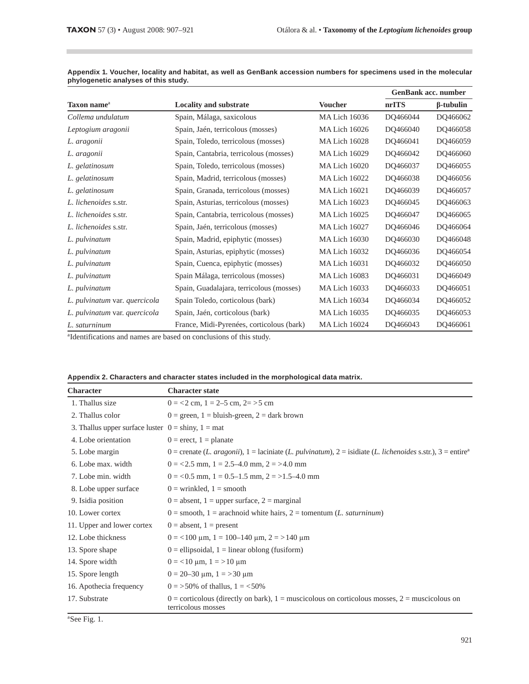m.

|                               |                                           |                      |          | <b>GenBank acc. number</b> |  |
|-------------------------------|-------------------------------------------|----------------------|----------|----------------------------|--|
| Taxon name <sup>a</sup>       | <b>Locality and substrate</b>             | <b>Voucher</b>       | nrITS    | $\beta$ -tubulin           |  |
| Collema undulatum             | Spain, Málaga, saxicolous                 | <b>MA Lich 16036</b> | DQ466044 | DQ466062                   |  |
| Leptogium aragonii            | Spain, Jaén, terricolous (mosses)         | <b>MA Lich 16026</b> | DQ466040 | DQ466058                   |  |
| L. aragonii                   | Spain, Toledo, terricolous (mosses)       | <b>MA Lich 16028</b> | DQ466041 | DQ466059                   |  |
| L. aragonii                   | Spain, Cantabria, terricolous (mosses)    | <b>MA Lich 16029</b> | DQ466042 | DQ466060                   |  |
| L. gelatinosum                | Spain, Toledo, terricolous (mosses)       | <b>MA Lich 16020</b> | DQ466037 | DQ466055                   |  |
| L. gelatinosum                | Spain, Madrid, terricolous (mosses)       | <b>MA Lich 16022</b> | DQ466038 | DQ466056                   |  |
| L. gelatinosum                | Spain, Granada, terricolous (mosses)      | <b>MA Lich 16021</b> | DQ466039 | DQ466057                   |  |
| L. lichenoides s.str.         | Spain, Asturias, terricolous (mosses)     | <b>MA Lich 16023</b> | DQ466045 | DQ466063                   |  |
| L. lichenoides s.str.         | Spain, Cantabria, terricolous (mosses)    | <b>MA Lich 16025</b> | DQ466047 | DQ466065                   |  |
| L. lichenoides s.str.         | Spain, Jaén, terricolous (mosses)         | <b>MA Lich 16027</b> | DQ466046 | DQ466064                   |  |
| L. pulvinatum                 | Spain, Madrid, epiphytic (mosses)         | <b>MA Lich 16030</b> | DQ466030 | DQ466048                   |  |
| L. pulvinatum                 | Spain, Asturias, epiphytic (mosses)       | <b>MA Lich 16032</b> | DQ466036 | DQ466054                   |  |
| L. pulvinatum                 | Spain, Cuenca, epiphytic (mosses)         | <b>MA Lich 16031</b> | DQ466032 | DO466050                   |  |
| L. pulvinatum                 | Spain Málaga, terricolous (mosses)        | <b>MA Lich 16083</b> | DQ466031 | DO466049                   |  |
| L. pulvinatum                 | Spain, Guadalajara, terricolous (mosses)  | <b>MA Lich 16033</b> | DQ466033 | DQ466051                   |  |
| L. pulvinatum var. quercicola | Spain Toledo, corticolous (bark)          | <b>MA Lich 16034</b> | DQ466034 | DQ466052                   |  |
| L. pulvinatum var. quercicola | Spain, Jaén, corticolous (bark)           | <b>MA Lich 16035</b> | DQ466035 | DQ466053                   |  |
| L. saturninum                 | France, Midi-Pyrenées, corticolous (bark) | <b>MA Lich 16024</b> | DQ466043 | DQ466061                   |  |

Appendix 1. Voucher, locality and habitat, as well as GenBank accession numbers for specimens used in the molecular phylogenetic analyses of this study.

<sup>a</sup>Identifications and names are based on conclusions of this study.

| Appendix 2. Characters and character states included in the morphological data matrix. |
|----------------------------------------------------------------------------------------|
|----------------------------------------------------------------------------------------|

| <b>Character</b>                                       | <b>Character state</b>                                                                                                    |
|--------------------------------------------------------|---------------------------------------------------------------------------------------------------------------------------|
| 1. Thallus size                                        | $0 = 2$ cm, $1 = 2-5$ cm, $2 = 5$ cm                                                                                      |
| 2. Thallus color                                       | $0 =$ green, $1 =$ bluish-green, $2 =$ dark brown                                                                         |
| 3. Thallus upper surface luster $0 =$ shiny, $1 =$ mat |                                                                                                                           |
| 4. Lobe orientation                                    | $0 =$ erect, $1 =$ planate                                                                                                |
| 5. Lobe margin                                         | 0 = crenate (L. aragonii), 1 = laciniate (L. pulvinatum), 2 = isidiate (L. lichenoides s.str.), 3 = entire <sup>a</sup>   |
| 6. Lobe max. width                                     | $0 = 2.5$ mm, $1 = 2.5 - 4.0$ mm, $2 = 2.6$ mm                                                                            |
| 7. Lobe min. width                                     | $0 = 0.5$ mm, $1 = 0.5 - 1.5$ mm, $2 = 1.5 - 4.0$ mm                                                                      |
| 8. Lobe upper surface                                  | $0 =$ wrinkled, $1 =$ smooth                                                                                              |
| 9. Isidia position                                     | $0 =$ absent, 1 = upper surface, 2 = marginal                                                                             |
| 10. Lower cortex                                       | $0 =$ smooth, 1 = arachnoid white hairs, 2 = tomentum (L. saturninum)                                                     |
| 11. Upper and lower cortex                             | $0 =$ absent, $1 =$ present                                                                                               |
| 12. Lobe thickness                                     | $0 = 100 \text{ µm}, 1 = 100 - 140 \text{ µm}, 2 = 140 \text{ µm}$                                                        |
| 13. Spore shape                                        | $0 =$ ellipsoidal, $1 =$ linear oblong (fusiform)                                                                         |
| 14. Spore width                                        | $0 = 10 \text{ µm}, 1 = 10 \text{ µm}$                                                                                    |
| 15. Spore length                                       | $0 = 20 - 30 \text{ µm}, 1 = 30 \text{ µm}$                                                                               |
| 16. Apothecia frequency                                | $0 = 50\%$ of thallus, $1 = 50\%$                                                                                         |
| 17. Substrate                                          | $0 =$ corticolous (directly on bark), $1 =$ muscicolous on corticolous mosses, $2 =$ muscicolous on<br>terricolous mosses |

<sup>a</sup>See Fig. 1.